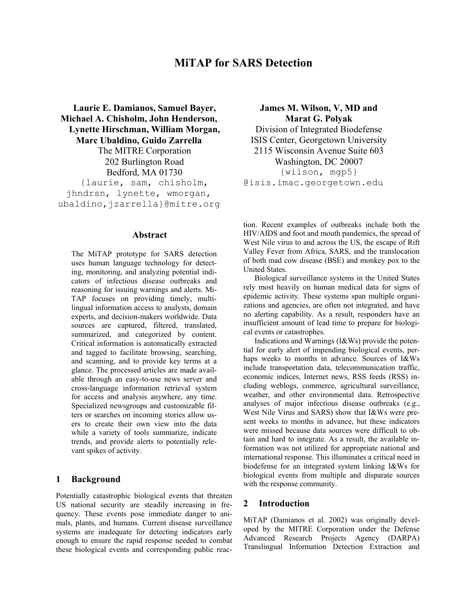# **MiTAP for SARS Detection**

**Laurie E. Damianos, Samuel Bayer, Michael A. Chisholm, John Henderson, Lynette Hirschman, William Morgan, Marc Ubaldino, Guido Zarrella**  The MITRE Corporation 202 Burlington Road Bedford, MA 01730 {laurie, sam, chisholm, jhndrsn, lynette, wmorgan, ubaldino, jzarrella}@mitre.org

### **Abstract**

The MiTAP prototype for SARS detection uses human language technology for detecting, monitoring, and analyzing potential indicators of infectious disease outbreaks and reasoning for issuing warnings and alerts. Mi-TAP focuses on providing timely, multilingual information access to analysts, domain experts, and decision-makers worldwide. Data sources are captured, filtered, translated, summarized, and categorized by content. Critical information is automatically extracted and tagged to facilitate browsing, searching, and scanning, and to provide key terms at a glance. The processed articles are made available through an easy-to-use news server and cross-language information retrieval system for access and analysis anywhere, any time. Specialized newsgroups and customizable filters or searches on incoming stories allow users to create their own view into the data while a variety of tools summarize, indicate trends, and provide alerts to potentially relevant spikes of activity.

#### **1 Background**

Potentially catastrophic biological events that threaten US national security are steadily increasing in frequency. These events pose immediate danger to animals, plants, and humans. Current disease surveillance systems are inadequate for detecting indicators early enough to ensure the rapid response needed to combat these biological events and corresponding public reac-

**James M. Wilson, V, MD and Marat G. Polyak**  Division of Integrated Biodefense ISIS Center, Georgetown University 2115 Wisconsin Avenue Suite 603 Washington, DC 20007 {wilson, mgp5} @isis.imac.georgetown.edu

tion. Recent examples of outbreaks include both the HIV/AIDS and foot and mouth pandemics, the spread of West Nile virus to and across the US, the escape of Rift Valley Fever from Africa, SARS, and the translocation of both mad cow disease (BSE) and monkey pox to the United States.

Biological surveillance systems in the United States rely most heavily on human medical data for signs of epidemic activity. These systems span multiple organizations and agencies, are often not integrated, and have no alerting capability. As a result, responders have an insufficient amount of lead time to prepare for biological events or catastrophes.

Indications and Warnings (I&Ws) provide the potential for early alert of impending biological events, perhaps weeks to months in advance. Sources of I&Ws include transportation data, telecommunication traffic, economic indices, Internet news, RSS feeds (RSS) including weblogs, commerce, agricultural surveillance, weather, and other environmental data. Retrospective analyses of major infectious disease outbreaks (e.g., West Nile Virus and SARS) show that I&Ws were present weeks to months in advance, but these indicators were missed because data sources were difficult to obtain and hard to integrate. As a result, the available information was not utilized for appropriate national and international response. This illuminates a critical need in biodefense for an integrated system linking I&Ws for biological events from multiple and disparate sources with the response community.

#### **2 Introduction**

MiTAP (Damianos et al. 2002) was originally developed by the MITRE Corporation under the Defense Advanced Research Projects Agency (DARPA) Translingual Information Detection Extraction and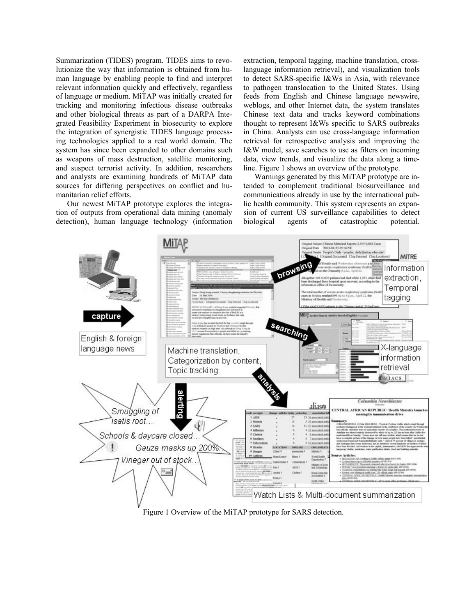Summarization (TIDES) program. TIDES aims to revolutionize the way that information is obtained from human language by enabling people to find and interpret relevant information quickly and effectively, regardless of language or medium. MiTAP was initially created for tracking and monitoring infectious disease outbreaks and other biological threats as part of a DARPA Integrated Feasibility Experiment in biosecurity to explore the integration of synergistic TIDES language processing technologies applied to a real world domain. The system has since been expanded to other domains such as weapons of mass destruction, satellite monitoring, and suspect terrorist activity. In addition, researchers and analysts are examining hundreds of MiTAP data sources for differing perspectives on conflict and humanitarian relief efforts.

Our newest MiTAP prototype explores the integration of outputs from operational data mining (anomaly detection), human language technology (information extraction, temporal tagging, machine translation, crosslanguage information retrieval), and visualization tools to detect SARS-specific I&Ws in Asia, with relevance to pathogen translocation to the United States. Using feeds from English and Chinese language newswire, weblogs, and other Internet data, the system translates Chinese text data and tracks keyword combinations thought to represent I&Ws specific to SARS outbreaks in China. Analysts can use cross-language information retrieval for retrospective analysis and improving the I&W model, save searches to use as filters on incoming data, view trends, and visualize the data along a timeline. Figure 1 shows an overview of the prototype.

Warnings generated by this MiTAP prototype are intended to complement traditional biosurveillance and communications already in use by the international public health community. This system represents an expansion of current US surveillance capabilities to detect biological agents of catastrophic potential.



Figure 1 Overview of the MiTAP prototype for SARS detection.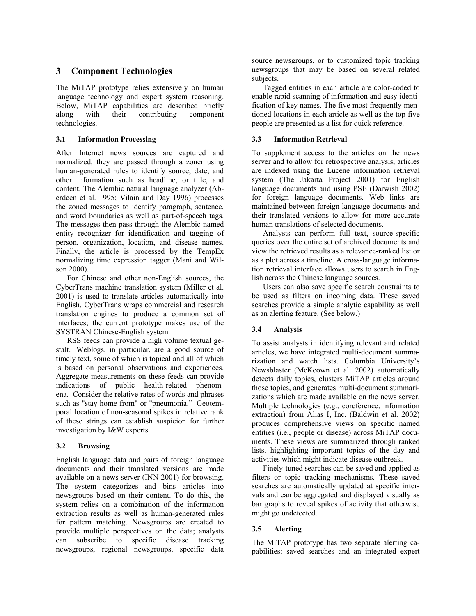## **3 Component Technologies**

The MiTAP prototype relies extensively on human language technology and expert system reasoning. Below, MiTAP capabilities are described briefly along with their contributing component technologies.

#### **3.1 Information Processing**

After Internet news sources are captured and normalized, they are passed through a zoner using human-generated rules to identify source, date, and other information such as headline, or title, and content. The Alembic natural language analyzer (Aberdeen et al. 1995; Vilain and Day 1996) processes the zoned messages to identify paragraph, sentence, and word boundaries as well as part-of-speech tags. The messages then pass through the Alembic named entity recognizer for identification and tagging of person, organization, location, and disease names. Finally, the article is processed by the TempEx normalizing time expression tagger (Mani and Wilson 2000).

For Chinese and other non-English sources, the CyberTrans machine translation system (Miller et al. 2001) is used to translate articles automatically into English. CyberTrans wraps commercial and research translation engines to produce a common set of interfaces; the current prototype makes use of the SYSTRAN Chinese-English system.

RSS feeds can provide a high volume textual gestalt. Weblogs, in particular, are a good source of timely text, some of which is topical and all of which is based on personal observations and experiences. Aggregate measurements on these feeds can provide indications of public health-related phenomena. Consider the relative rates of words and phrases such as "stay home from" or "pneumonia." Geotemporal location of non-seasonal spikes in relative rank of these strings can establish suspicion for further investigation by I&W experts.

#### **3.2 Browsing**

English language data and pairs of foreign language documents and their translated versions are made available on a news server (INN 2001) for browsing. The system categorizes and bins articles into newsgroups based on their content. To do this, the system relies on a combination of the information extraction results as well as human-generated rules for pattern matching. Newsgroups are created to provide multiple perspectives on the data; analysts can subscribe to specific disease tracking newsgroups, regional newsgroups, specific data source newsgroups, or to customized topic tracking newsgroups that may be based on several related subjects.

Tagged entities in each article are color-coded to enable rapid scanning of information and easy identification of key names. The five most frequently mentioned locations in each article as well as the top five people are presented as a list for quick reference.

#### **3.3 Information Retrieval**

To supplement access to the articles on the news server and to allow for retrospective analysis, articles are indexed using the Lucene information retrieval system (The Jakarta Project 2001) for English language documents and using PSE (Darwish 2002) for foreign language documents. Web links are maintained between foreign language documents and their translated versions to allow for more accurate human translations of selected documents.

Analysts can perform full text, source-specific queries over the entire set of archived documents and view the retrieved results as a relevance-ranked list or as a plot across a timeline. A cross-language information retrieval interface allows users to search in English across the Chinese language sources.

Users can also save specific search constraints to be used as filters on incoming data. These saved searches provide a simple analytic capability as well as an alerting feature. (See below.)

#### **3.4 Analysis**

To assist analysts in identifying relevant and related articles, we have integrated multi-document summarization and watch lists. Columbia University's Newsblaster (McKeown et al. 2002) automatically detects daily topics, clusters MiTAP articles around those topics, and generates multi-document summarizations which are made available on the news server. Multiple technologies (e.g., coreference, information extraction) from Alias I, Inc. (Baldwin et al. 2002) produces comprehensive views on specific named entities (i.e., people or disease) across MiTAP documents. These views are summarized through ranked lists, highlighting important topics of the day and activities which might indicate disease outbreak.

Finely-tuned searches can be saved and applied as filters or topic tracking mechanisms. These saved searches are automatically updated at specific intervals and can be aggregated and displayed visually as bar graphs to reveal spikes of activity that otherwise might go undetected.

#### **3.5 Alerting**

The MiTAP prototype has two separate alerting capabilities: saved searches and an integrated expert